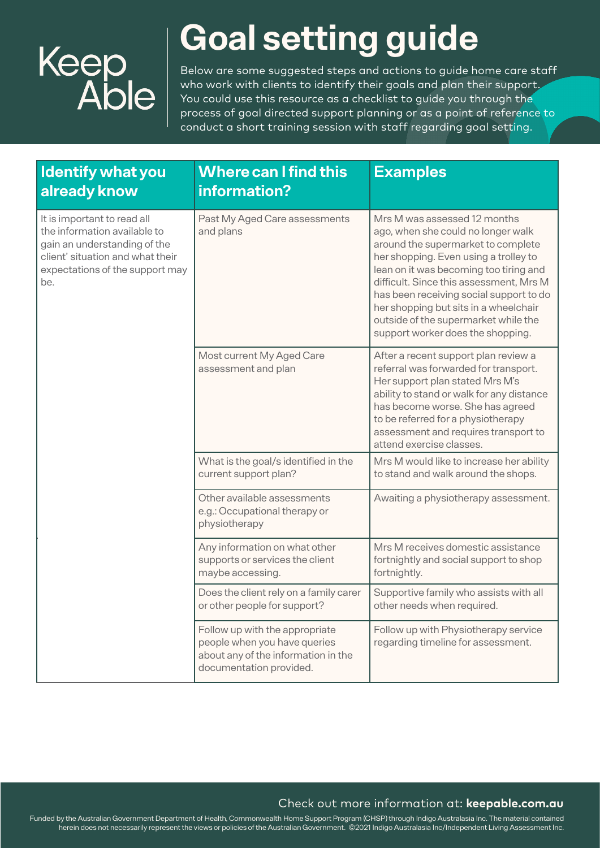

## **Goal setting guide**

Below are some suggested steps and actions to guide home care staff who work with clients to identify their goals and plan their support. You could use this resource as a checklist to quide you through the process of goal directed support planning or as a point of reference to conduct a short training session with staff regarding goal setting.

| <b>Identify what you</b><br>already know                                                                                                                                  | <b>Where can I find this</b><br>information?                                                                                     | <b>Examples</b>                                                                                                                                                                                                                                                                                                                                                                                         |
|---------------------------------------------------------------------------------------------------------------------------------------------------------------------------|----------------------------------------------------------------------------------------------------------------------------------|---------------------------------------------------------------------------------------------------------------------------------------------------------------------------------------------------------------------------------------------------------------------------------------------------------------------------------------------------------------------------------------------------------|
| It is important to read all<br>the information available to<br>gain an understanding of the<br>client' situation and what their<br>expectations of the support may<br>be. | Past My Aged Care assessments<br>and plans                                                                                       | Mrs M was assessed 12 months<br>ago, when she could no longer walk<br>around the supermarket to complete<br>her shopping. Even using a trolley to<br>lean on it was becoming too tiring and<br>difficult. Since this assessment, Mrs M<br>has been receiving social support to do<br>her shopping but sits in a wheelchair<br>outside of the supermarket while the<br>support worker does the shopping. |
|                                                                                                                                                                           | Most current My Aged Care<br>assessment and plan                                                                                 | After a recent support plan review a<br>referral was forwarded for transport.<br>Her support plan stated Mrs M's<br>ability to stand or walk for any distance<br>has become worse. She has agreed<br>to be referred for a physiotherapy<br>assessment and requires transport to<br>attend exercise classes.                                                                                             |
|                                                                                                                                                                           | What is the goal/s identified in the<br>current support plan?                                                                    | Mrs M would like to increase her ability<br>to stand and walk around the shops.                                                                                                                                                                                                                                                                                                                         |
|                                                                                                                                                                           | Other available assessments<br>e.g.: Occupational therapy or<br>physiotherapy                                                    | Awaiting a physiotherapy assessment.                                                                                                                                                                                                                                                                                                                                                                    |
|                                                                                                                                                                           | Any information on what other<br>supports or services the client<br>maybe accessing.                                             | Mrs M receives domestic assistance<br>fortnightly and social support to shop<br>fortnightly.                                                                                                                                                                                                                                                                                                            |
|                                                                                                                                                                           | Does the client rely on a family carer<br>or other people for support?                                                           | Supportive family who assists with all<br>other needs when required.                                                                                                                                                                                                                                                                                                                                    |
|                                                                                                                                                                           | Follow up with the appropriate<br>people when you have queries<br>about any of the information in the<br>documentation provided. | Follow up with Physiotherapy service<br>regarding timeline for assessment.                                                                                                                                                                                                                                                                                                                              |

### Check out more information at: **keepable.com.au**

Funded by the Australian Government Department of Health, Commonwealth Home Support Program (CHSP) through Indigo Australasia Inc. The material contained herein does not necessarily represent the views or policies of the Australian Government. ©2021 Indigo Australasia Inc/Independent Living Assessment Inc.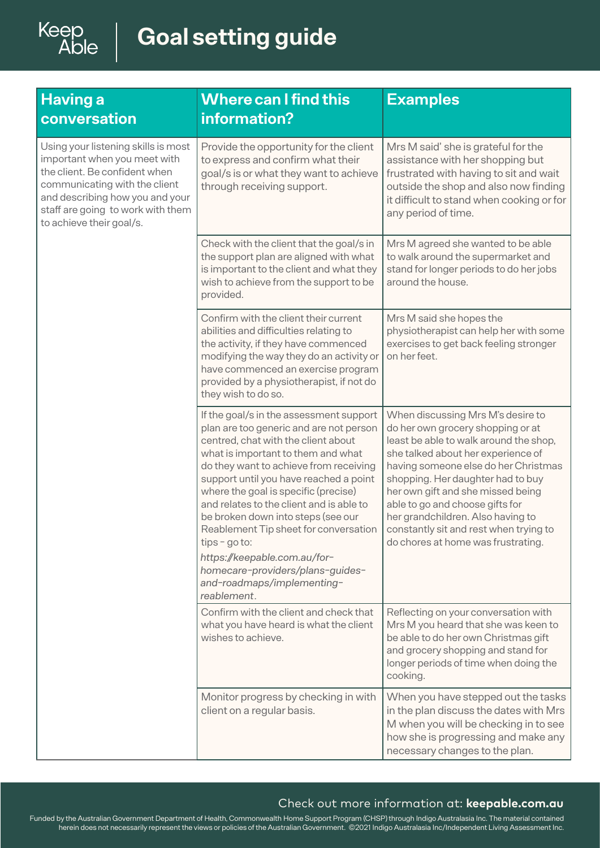# Keep<br>Able

 $\overline{\phantom{a}}$ 

| <b>Having a</b><br>conversation                                                                                                                                                                                                           | <b>Where can I find this</b><br>information?                                                                                                                                                                                                                                                                                                                                                                                                                                                                                                               | <b>Examples</b>                                                                                                                                                                                                                                                                                                                                                                                                                  |
|-------------------------------------------------------------------------------------------------------------------------------------------------------------------------------------------------------------------------------------------|------------------------------------------------------------------------------------------------------------------------------------------------------------------------------------------------------------------------------------------------------------------------------------------------------------------------------------------------------------------------------------------------------------------------------------------------------------------------------------------------------------------------------------------------------------|----------------------------------------------------------------------------------------------------------------------------------------------------------------------------------------------------------------------------------------------------------------------------------------------------------------------------------------------------------------------------------------------------------------------------------|
| Using your listening skills is most<br>important when you meet with<br>the client. Be confident when<br>communicating with the client<br>and describing how you and your<br>staff are going to work with them<br>to achieve their goal/s. | Provide the opportunity for the client<br>to express and confirm what their<br>goal/s is or what they want to achieve<br>through receiving support.                                                                                                                                                                                                                                                                                                                                                                                                        | Mrs M said' she is grateful for the<br>assistance with her shopping but<br>frustrated with having to sit and wait<br>outside the shop and also now finding<br>it difficult to stand when cooking or for<br>any period of time.                                                                                                                                                                                                   |
|                                                                                                                                                                                                                                           | Check with the client that the goal/s in<br>the support plan are aligned with what<br>is important to the client and what they<br>wish to achieve from the support to be<br>provided.                                                                                                                                                                                                                                                                                                                                                                      | Mrs M agreed she wanted to be able<br>to walk around the supermarket and<br>stand for longer periods to do her jobs<br>around the house.                                                                                                                                                                                                                                                                                         |
|                                                                                                                                                                                                                                           | Confirm with the client their current<br>abilities and difficulties relating to<br>the activity, if they have commenced<br>modifying the way they do an activity or<br>have commenced an exercise program<br>provided by a physiotherapist, if not do<br>they wish to do so.                                                                                                                                                                                                                                                                               | Mrs M said she hopes the<br>physiotherapist can help her with some<br>exercises to get back feeling stronger<br>on her feet.                                                                                                                                                                                                                                                                                                     |
|                                                                                                                                                                                                                                           | If the goal/s in the assessment support<br>plan are too generic and are not person<br>centred, chat with the client about<br>what is important to them and what<br>do they want to achieve from receiving<br>support until you have reached a point<br>where the goal is specific (precise)<br>and relates to the client and is able to<br>be broken down into steps (see our<br>Reablement Tip sheet for conversation<br>$tips - go to:$<br>https://keepable.com.au/for-<br>homecare-providers/plans-guides-<br>and-roadmaps/implementing-<br>reablement. | When discussing Mrs M's desire to<br>do her own grocery shopping or at<br>least be able to walk around the shop,<br>she talked about her experience of<br>having someone else do her Christmas<br>shopping. Her daughter had to buy<br>her own gift and she missed being<br>able to go and choose gifts for<br>her grandchildren. Also having to<br>constantly sit and rest when trying to<br>do chores at home was frustrating. |
|                                                                                                                                                                                                                                           | Confirm with the client and check that<br>what you have heard is what the client<br>wishes to achieve.                                                                                                                                                                                                                                                                                                                                                                                                                                                     | Reflecting on your conversation with<br>Mrs M you heard that she was keen to<br>be able to do her own Christmas gift<br>and grocery shopping and stand for<br>longer periods of time when doing the<br>cooking.                                                                                                                                                                                                                  |
|                                                                                                                                                                                                                                           | Monitor progress by checking in with<br>client on a regular basis.                                                                                                                                                                                                                                                                                                                                                                                                                                                                                         | When you have stepped out the tasks<br>in the plan discuss the dates with Mrs<br>M when you will be checking in to see<br>how she is progressing and make any<br>necessary changes to the plan.                                                                                                                                                                                                                                  |

### Check out more information at: **keepable.com.au**

Funded by the Australian Government Department of Health, Commonwealth Home Support Program (CHSP) through Indigo Australasia Inc. The material contained herein does not necessarily represent the views or policies of the Australian Government. ©2021 Indigo Australasia Inc/Independent Living Assessment Inc.